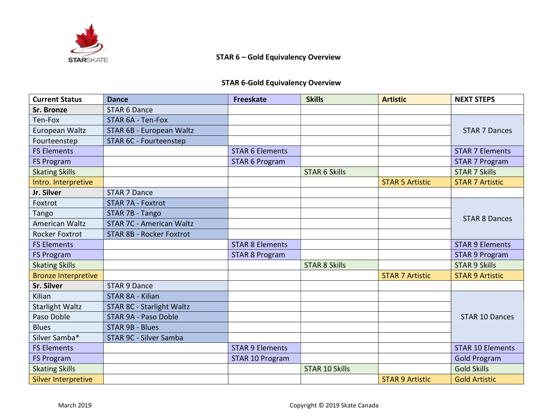

## STAR 6 – Gold Equivalency Overview

## STAR 6-Gold Equivalency Overview

| <b>Current Status</b>      | <b>Dance</b>                    | <b>Freeskate</b>       | <b>Skills</b>         | <b>Artistic</b>        | <b>NEXT STEPS</b>       |
|----------------------------|---------------------------------|------------------------|-----------------------|------------------------|-------------------------|
| Sr. Bronze                 | <b>STAR 6 Dance</b>             |                        |                       |                        |                         |
| Ten-Fox                    | STAR 6A - Ten-Fox               |                        |                       |                        | <b>STAR 7 Dances</b>    |
| European Waltz             | STAR 6B - European Waltz        |                        |                       |                        |                         |
| Fourteenstep               | STAR 6C - Fourteenstep          |                        |                       |                        |                         |
| <b>FS Elements</b>         |                                 | <b>STAR 6 Elements</b> |                       |                        | <b>STAR 7 Elements</b>  |
| <b>FS Program</b>          |                                 | <b>STAR 6 Program</b>  |                       |                        | <b>STAR 7 Program</b>   |
| <b>Skating Skills</b>      |                                 |                        | <b>STAR 6 Skills</b>  |                        | <b>STAR 7 Skills</b>    |
| Intro. Interpretive        |                                 |                        |                       | <b>STAR 5 Artistic</b> | <b>STAR 7 Artistic</b>  |
| Jr. Silver                 | <b>STAR 7 Dance</b>             |                        |                       |                        |                         |
| Foxtrot                    | <b>STAR 7A - Foxtrot</b>        |                        |                       |                        | <b>STAR 8 Dances</b>    |
| Tango                      | STAR 7B - Tango                 |                        |                       |                        |                         |
| <b>American Waltz</b>      | <b>STAR 7C - American Waltz</b> |                        |                       |                        |                         |
| <b>Rocker Foxtrot</b>      | <b>STAR 8B - Rocker Foxtrot</b> |                        |                       |                        |                         |
| <b>FS Elements</b>         |                                 | <b>STAR 8 Elements</b> |                       |                        | <b>STAR 9 Elements</b>  |
| <b>FS Program</b>          |                                 | <b>STAR 8 Program</b>  |                       |                        | <b>STAR 9 Program</b>   |
| <b>Skating Skills</b>      |                                 |                        | <b>STAR 8 Skills</b>  |                        | <b>STAR 9 Skills</b>    |
| <b>Bronze Interpretive</b> |                                 |                        |                       | <b>STAR 7 Artistic</b> | <b>STAR 9 Artistic</b>  |
| Sr. Silver                 | <b>STAR 9 Dance</b>             |                        |                       |                        |                         |
| Kilian                     | STAR 8A - Kilian                |                        |                       |                        | <b>STAR 10 Dances</b>   |
| <b>Starlight Waltz</b>     | STAR 8C - Starlight Waltz       |                        |                       |                        |                         |
| Paso Doble                 | STAR 9A - Paso Doble            |                        |                       |                        |                         |
| <b>Blues</b>               | <b>STAR 9B - Blues</b>          |                        |                       |                        |                         |
| Silver Samba*              | STAR 9C - Silver Samba          |                        |                       |                        |                         |
| <b>FS Elements</b>         |                                 | <b>STAR 9 Elements</b> |                       |                        | <b>STAR 10 Elements</b> |
| <b>FS Program</b>          |                                 | <b>STAR 10 Program</b> |                       |                        | <b>Gold Program</b>     |
| <b>Skating Skills</b>      |                                 |                        | <b>STAR 10 Skills</b> |                        | <b>Gold Skills</b>      |
| <b>Silver Interpretive</b> |                                 |                        |                       | <b>STAR 9 Artistic</b> | <b>Gold Artistic</b>    |